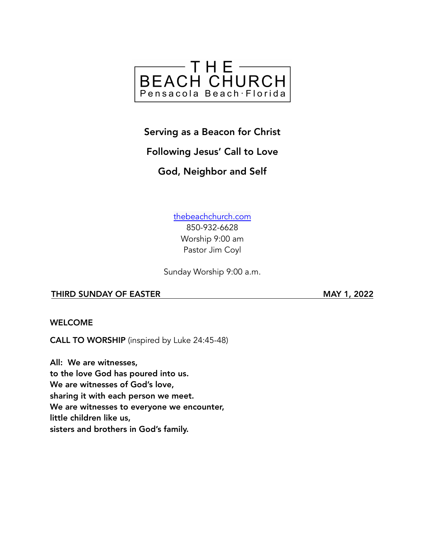

### Serving as a Beacon for Christ

## Following Jesus' Call to Love

## God, Neighbor and Self

[thebeachchurch.com](http://thebeachchurch.com) 850-932-6628 Worship 9:00 am Pastor Jim Coyl

Sunday Worship 9:00 a.m.

#### THIRD SUNDAY OF EASTER MAY 1, 2022

WELCOME

CALL TO WORSHIP (inspired by Luke 24:45-48)

All: We are witnesses, to the love God has poured into us. We are witnesses of God's love, sharing it with each person we meet. We are witnesses to everyone we encounter, little children like us, sisters and brothers in God's family.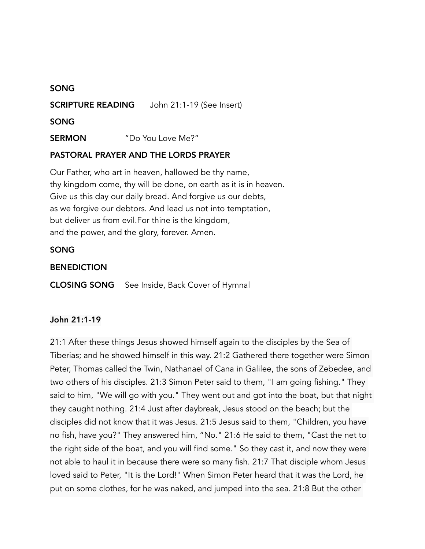#### SONG

SCRIPTURE READING John 21:1-19 (See Insert)

SONG

SERMON "Do You Love Me?"

#### PASTORAL PRAYER AND THE LORDS PRAYER

Our Father, who art in heaven, hallowed be thy name, thy kingdom come, thy will be done, on earth as it is in heaven. Give us this day our daily bread. And forgive us our debts, as we forgive our debtors. And lead us not into temptation, but deliver us from evil.For thine is the kingdom, and the power, and the glory, forever. Amen.

#### SONG

#### **BENEDICTION**

CLOSING SONG See Inside, Back Cover of Hymnal

#### John 21:1-19

21:1 After these things Jesus showed himself again to the disciples by the Sea of Tiberias; and he showed himself in this way. 21:2 Gathered there together were Simon Peter, Thomas called the Twin, Nathanael of Cana in Galilee, the sons of Zebedee, and two others of his disciples. 21:3 Simon Peter said to them, "I am going fishing." They said to him, "We will go with you." They went out and got into the boat, but that night they caught nothing. 21:4 Just after daybreak, Jesus stood on the beach; but the disciples did not know that it was Jesus. 21:5 Jesus said to them, "Children, you have no fish, have you?" They answered him, "No." 21:6 He said to them, "Cast the net to the right side of the boat, and you will find some." So they cast it, and now they were not able to haul it in because there were so many fish. 21:7 That disciple whom Jesus loved said to Peter, "It is the Lord!" When Simon Peter heard that it was the Lord, he put on some clothes, for he was naked, and jumped into the sea. 21:8 But the other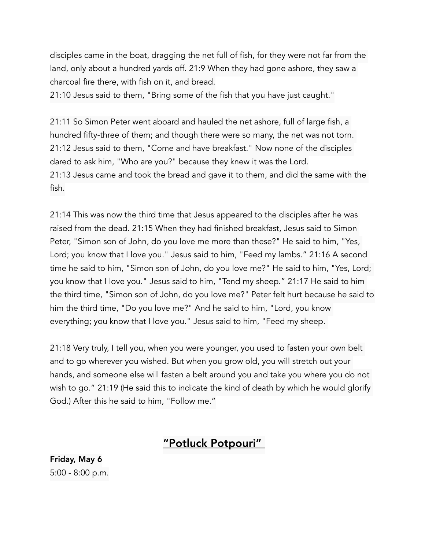disciples came in the boat, dragging the net full of fish, for they were not far from the land, only about a hundred yards off. 21:9 When they had gone ashore, they saw a charcoal fire there, with fish on it, and bread.

21:10 Jesus said to them, "Bring some of the fish that you have just caught."

21:11 So Simon Peter went aboard and hauled the net ashore, full of large fish, a hundred fifty-three of them; and though there were so many, the net was not torn. 21:12 Jesus said to them, "Come and have breakfast." Now none of the disciples dared to ask him, "Who are you?" because they knew it was the Lord. 21:13 Jesus came and took the bread and gave it to them, and did the same with the fish.

21:14 This was now the third time that Jesus appeared to the disciples after he was raised from the dead. 21:15 When they had finished breakfast, Jesus said to Simon Peter, "Simon son of John, do you love me more than these?" He said to him, "Yes, Lord; you know that I love you." Jesus said to him, "Feed my lambs." 21:16 A second time he said to him, "Simon son of John, do you love me?" He said to him, "Yes, Lord; you know that I love you." Jesus said to him, "Tend my sheep." 21:17 He said to him the third time, "Simon son of John, do you love me?" Peter felt hurt because he said to him the third time, "Do you love me?" And he said to him, "Lord, you know everything; you know that I love you." Jesus said to him, "Feed my sheep.

21:18 Very truly, I tell you, when you were younger, you used to fasten your own belt and to go wherever you wished. But when you grow old, you will stretch out your hands, and someone else will fasten a belt around you and take you where you do not wish to go." 21:19 (He said this to indicate the kind of death by which he would glorify God.) After this he said to him, "Follow me."

# "Potluck Potpouri"

Friday, May 6 5:00 - 8:00 p.m.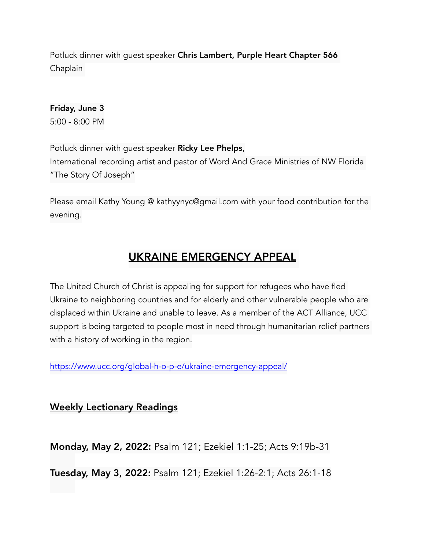Potluck dinner with quest speaker Chris Lambert, Purple Heart Chapter 566 Chaplain

Friday, June 3 5:00 - 8:00 PM

Potluck dinner with guest speaker Ricky Lee Phelps, International recording artist and pastor of Word And Grace Ministries of NW Florida "The Story Of Joseph"

Please email Kathy Young @ kathyynyc@gmail.com with your food contribution for the evening.

# UKRAINE EMERGENCY APPEAL

The United Church of Christ is appealing for support for refugees who have fled Ukraine to neighboring countries and for elderly and other vulnerable people who are displaced within Ukraine and unable to leave. As a member of the ACT Alliance, UCC support is being targeted to people most in need through humanitarian relief partners with a history of working in the region.

<https://www.ucc.org/global-h-o-p-e/ukraine-emergency-appeal/>

Weekly Lectionary Readings

Monday, May 2, 2022: Psalm 121; Ezekiel 1:1-25; Acts 9:19b-31

Tuesday, May 3, 2022: Psalm 121; Ezekiel 1:26-2:1; Acts 26:1-18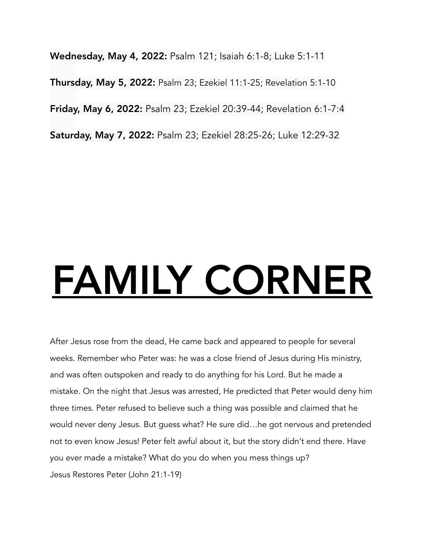Wednesday, May 4, 2022: Psalm 121; Isaiah 6:1-8; Luke 5:1-11 Thursday, May 5, 2022: Psalm 23; Ezekiel 11:1-25; Revelation 5:1-10 Friday, May 6, 2022: Psalm 23; Ezekiel 20:39-44; Revelation 6:1-7:4 Saturday, May 7, 2022: Psalm 23; Ezekiel 28:25-26; Luke 12:29-32

# FAMILY CORNER

After Jesus rose from the dead, He came back and appeared to people for several weeks. Remember who Peter was: he was a close friend of Jesus during His ministry, and was often outspoken and ready to do anything for his Lord. But he made a mistake. On the night that Jesus was arrested, He predicted that Peter would deny him three times. Peter refused to believe such a thing was possible and claimed that he would never deny Jesus. But guess what? He sure did…he got nervous and pretended not to even know Jesus! Peter felt awful about it, but the story didn't end there. Have you ever made a mistake? What do you do when you mess things up? Jesus Restores Peter (John 21:1-19)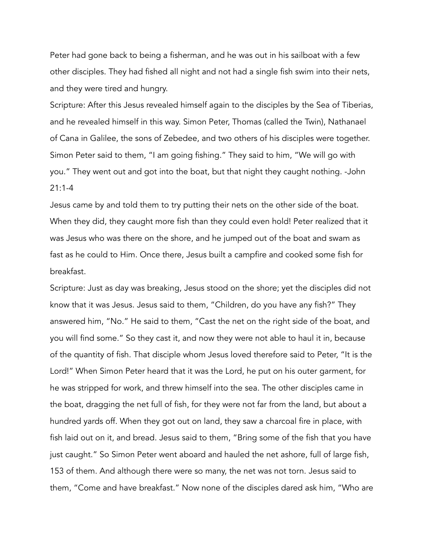Peter had gone back to being a fisherman, and he was out in his sailboat with a few other disciples. They had fished all night and not had a single fish swim into their nets, and they were tired and hungry.

Scripture: After this Jesus revealed himself again to the disciples by the Sea of Tiberias, and he revealed himself in this way. Simon Peter, Thomas (called the Twin), Nathanael of Cana in Galilee, the sons of Zebedee, and two others of his disciples were together. Simon Peter said to them, "I am going fishing." They said to him, "We will go with you." They went out and got into the boat, but that night they caught nothing. -John  $21:1-4$ 

Jesus came by and told them to try putting their nets on the other side of the boat. When they did, they caught more fish than they could even hold! Peter realized that it was Jesus who was there on the shore, and he jumped out of the boat and swam as fast as he could to Him. Once there, Jesus built a campfire and cooked some fish for breakfast.

Scripture: Just as day was breaking, Jesus stood on the shore; yet the disciples did not know that it was Jesus. Jesus said to them, "Children, do you have any fish?" They answered him, "No." He said to them, "Cast the net on the right side of the boat, and you will find some." So they cast it, and now they were not able to haul it in, because of the quantity of fish. That disciple whom Jesus loved therefore said to Peter, "It is the Lord!" When Simon Peter heard that it was the Lord, he put on his outer garment, for he was stripped for work, and threw himself into the sea. The other disciples came in the boat, dragging the net full of fish, for they were not far from the land, but about a hundred yards off. When they got out on land, they saw a charcoal fire in place, with fish laid out on it, and bread. Jesus said to them, "Bring some of the fish that you have just caught." So Simon Peter went aboard and hauled the net ashore, full of large fish, 153 of them. And although there were so many, the net was not torn. Jesus said to them, "Come and have breakfast." Now none of the disciples dared ask him, "Who are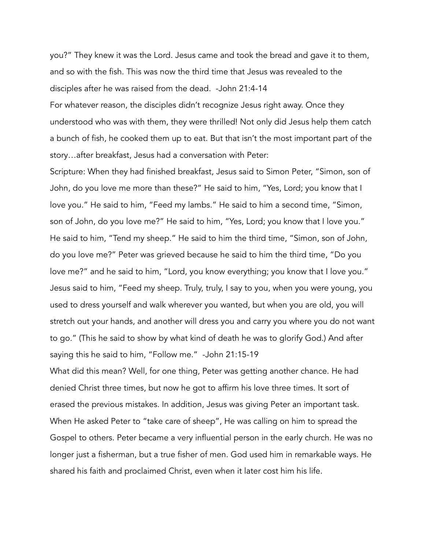you?" They knew it was the Lord. Jesus came and took the bread and gave it to them, and so with the fish. This was now the third time that Jesus was revealed to the disciples after he was raised from the dead. -John 21:4-14

For whatever reason, the disciples didn't recognize Jesus right away. Once they understood who was with them, they were thrilled! Not only did Jesus help them catch a bunch of fish, he cooked them up to eat. But that isn't the most important part of the story…after breakfast, Jesus had a conversation with Peter:

Scripture: When they had finished breakfast, Jesus said to Simon Peter, "Simon, son of John, do you love me more than these?" He said to him, "Yes, Lord; you know that I love you." He said to him, "Feed my lambs." He said to him a second time, "Simon, son of John, do you love me?" He said to him, "Yes, Lord; you know that I love you." He said to him, "Tend my sheep." He said to him the third time, "Simon, son of John, do you love me?" Peter was grieved because he said to him the third time, "Do you love me?" and he said to him, "Lord, you know everything; you know that I love you." Jesus said to him, "Feed my sheep. Truly, truly, I say to you, when you were young, you used to dress yourself and walk wherever you wanted, but when you are old, you will stretch out your hands, and another will dress you and carry you where you do not want to go." (This he said to show by what kind of death he was to glorify God.) And after saying this he said to him, "Follow me." -John 21:15-19

What did this mean? Well, for one thing, Peter was getting another chance. He had denied Christ three times, but now he got to affirm his love three times. It sort of erased the previous mistakes. In addition, Jesus was giving Peter an important task. When He asked Peter to "take care of sheep", He was calling on him to spread the Gospel to others. Peter became a very influential person in the early church. He was no longer just a fisherman, but a true fisher of men. God used him in remarkable ways. He shared his faith and proclaimed Christ, even when it later cost him his life.